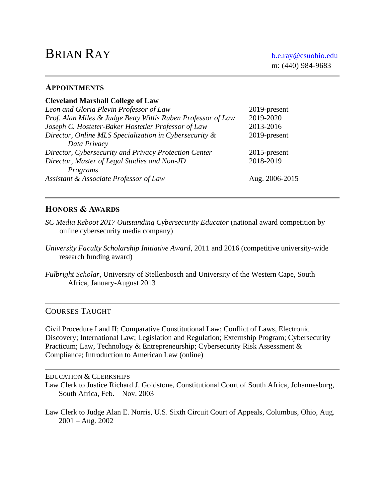# BRIAN RAY [b.e.ray@csuohio.edu](mailto:b.e.ray@csuohio.edu)

#### **APPOINTMENTS**

| <b>Cleveland Marshall College of Law</b>                     |                |
|--------------------------------------------------------------|----------------|
| Leon and Gloria Plevin Professor of Law                      | 2019-present   |
| Prof. Alan Miles & Judge Betty Willis Ruben Professor of Law | 2019-2020      |
| Joseph C. Hosteter-Baker Hostetler Professor of Law          | 2013-2016      |
| Director, Online MLS Specialization in Cybersecurity &       | 2019-present   |
| Data Privacy                                                 |                |
| Director, Cybersecurity and Privacy Protection Center        | 2015-present   |
| Director, Master of Legal Studies and Non-JD                 | 2018-2019      |
| Programs                                                     |                |
| Assistant & Associate Professor of Law                       | Aug. 2006-2015 |
|                                                              |                |

# **HONORS & AWARDS**

- *SC Media Reboot 2017 Outstanding Cybersecurity Educator* (national award competition by online cybersecurity media company)
- *University Faculty Scholarship Initiative Award*, 2011 and 2016 (competitive university-wide research funding award)
- *Fulbright Scholar*, University of Stellenbosch and University of the Western Cape, South Africa, January-August 2013

# COURSES TAUGHT

Civil Procedure I and II; Comparative Constitutional Law; Conflict of Laws, Electronic Discovery; International Law; Legislation and Regulation; Externship Program; Cybersecurity Practicum; Law, Technology & Entrepreneurship; Cybersecurity Risk Assessment & Compliance; Introduction to American Law (online)

#### EDUCATION & CLERKSHIPS

Law Clerk to Justice Richard J. Goldstone, Constitutional Court of South Africa, Johannesburg, South Africa, Feb. – Nov. 2003

Law Clerk to Judge Alan E. Norris, U.S. Sixth Circuit Court of Appeals, Columbus, Ohio, Aug.  $2001 - Aug. 2002$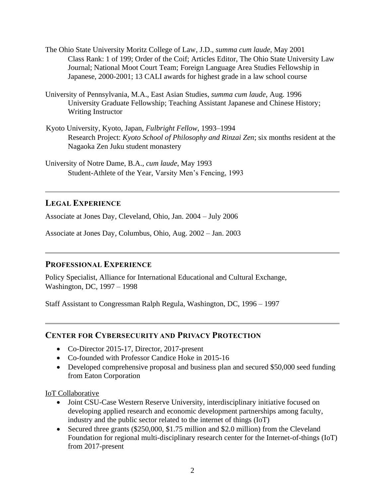- The Ohio State University Moritz College of Law, J.D., *summa cum laude*, May 2001 Class Rank: 1 of 199; Order of the Coif; Articles Editor, The Ohio State University Law Journal; National Moot Court Team; Foreign Language Area Studies Fellowship in Japanese, 2000-2001; 13 CALI awards for highest grade in a law school course
- University of Pennsylvania, M.A., East Asian Studies, *summa cum laude*, Aug. 1996 University Graduate Fellowship; Teaching Assistant Japanese and Chinese History; Writing Instructor
- Kyoto University, Kyoto, Japan, *Fulbright Fellow*, 1993–1994 Research Project: *Kyoto School of Philosophy and Rinzai Zen*; six months resident at the Nagaoka Zen Juku student monastery

University of Notre Dame, B.A., *cum laude*, May 1993 Student-Athlete of the Year, Varsity Men's Fencing, 1993

# **LEGAL EXPERIENCE**

Associate at Jones Day, Cleveland, Ohio, Jan. 2004 – July 2006

Associate at Jones Day, Columbus, Ohio, Aug. 2002 – Jan. 2003

### **PROFESSIONAL EXPERIENCE**

Policy Specialist, Alliance for International Educational and Cultural Exchange, Washington, DC, 1997 – 1998

Staff Assistant to Congressman Ralph Regula, Washington, DC, 1996 – 1997

### **CENTER FOR CYBERSECURITY AND PRIVACY PROTECTION**

- Co-Director 2015-17, Director, 2017-present
- Co-founded with Professor Candice Hoke in 2015-16
- Developed comprehensive proposal and business plan and secured \$50,000 seed funding from Eaton Corporation

IoT Collaborative

- Joint CSU-Case Western Reserve University, interdisciplinary initiative focused on developing applied research and economic development partnerships among faculty, industry and the public sector related to the internet of things (IoT)
- Secured three grants (\$250,000, \$1.75 million and \$2.0 million) from the Cleveland Foundation for regional multi-disciplinary research center for the Internet-of-things (IoT) from 2017-present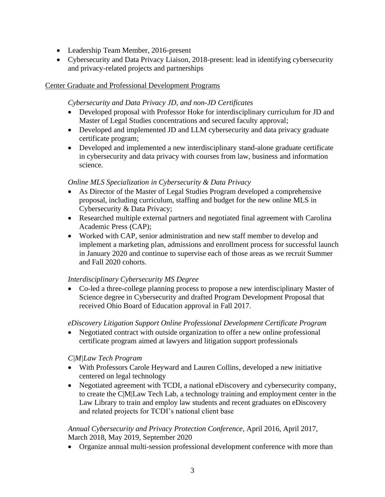- Leadership Team Member, 2016-present
- Cybersecurity and Data Privacy Liaison, 2018-present: lead in identifying cybersecurity and privacy-related projects and partnerships

### Center Graduate and Professional Development Programs

### *Cybersecurity and Data Privacy JD, and non-JD Certificates*

- Developed proposal with Professor Hoke for interdisciplinary curriculum for JD and Master of Legal Studies concentrations and secured faculty approval;
- Developed and implemented JD and LLM cybersecurity and data privacy graduate certificate program;
- Developed and implemented a new interdisciplinary stand-alone graduate certificate in cybersecurity and data privacy with courses from law, business and information science.

# *Online MLS Specialization in Cybersecurity & Data Privacy*

- As Director of the Master of Legal Studies Program developed a comprehensive proposal, including curriculum, staffing and budget for the new online MLS in Cybersecurity & Data Privacy;
- Researched multiple external partners and negotiated final agreement with Carolina Academic Press (CAP);
- Worked with CAP, senior administration and new staff member to develop and implement a marketing plan, admissions and enrollment process for successful launch in January 2020 and continue to supervise each of those areas as we recruit Summer and Fall 2020 cohorts.

### *Interdisciplinary Cybersecurity MS Degree*

• Co-led a three-college planning process to propose a new interdisciplinary Master of Science degree in Cybersecurity and drafted Program Development Proposal that received Ohio Board of Education approval in Fall 2017.

# *eDiscovery Litigation Support Online Professional Development Certificate Program*

• Negotiated contract with outside organization to offer a new online professional certificate program aimed at lawyers and litigation support professionals

### *C|M|Law Tech Program*

- With Professors Carole Heyward and Lauren Collins, developed a new initiative centered on legal technology
- Negotiated agreement with TCDI, a national eDiscovery and cybersecurity company, to create the C|M|Law Tech Lab, a technology training and employment center in the Law Library to train and employ law students and recent graduates on eDiscovery and related projects for TCDI's national client base

### *Annual Cybersecurity and Privacy Protection Conference*, April 2016, April 2017, March 2018, May 2019, September 2020

• Organize annual multi-session professional development conference with more than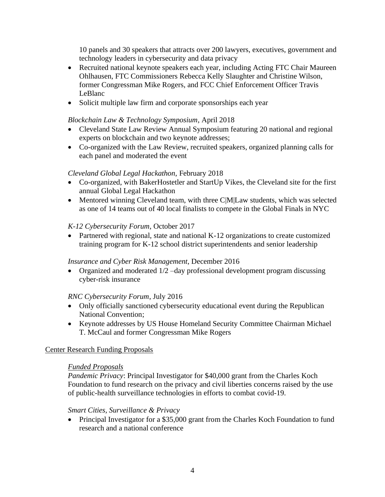10 panels and 30 speakers that attracts over 200 lawyers, executives, government and technology leaders in cybersecurity and data privacy

- Recruited national keynote speakers each year, including Acting FTC Chair Maureen Ohlhausen, FTC Commissioners Rebecca Kelly Slaughter and Christine Wilson, former Congressman Mike Rogers, and FCC Chief Enforcement Officer Travis LeBlanc
- Solicit multiple law firm and corporate sponsorships each year

#### *Blockchain Law & Technology Symposium*, April 2018

- Cleveland State Law Review Annual Symposium featuring 20 national and regional experts on blockchain and two keynote addresses;
- Co-organized with the Law Review, recruited speakers, organized planning calls for each panel and moderated the event

#### *Cleveland Global Legal Hackathon*, February 2018

- Co-organized, with BakerHostetler and StartUp Vikes, the Cleveland site for the first annual Global Legal Hackathon
- Mentored winning Cleveland team, with three C|M|Law students, which was selected as one of 14 teams out of 40 local finalists to compete in the Global Finals in NYC

#### *K-12 Cybersecurity Forum*, October 2017

• Partnered with regional, state and national K-12 organizations to create customized training program for K-12 school district superintendents and senior leadership

#### *Insurance and Cyber Risk Management*, December 2016

• Organized and moderated  $1/2$  –day professional development program discussing cyber-risk insurance

#### *RNC Cybersecurity Forum*, July 2016

- Only officially sanctioned cybersecurity educational event during the Republican National Convention;
- Keynote addresses by US House Homeland Security Committee Chairman Michael T. McCaul and former Congressman Mike Rogers

#### Center Research Funding Proposals

#### *Funded Proposals*

*Pandemic Privacy*: Principal Investigator for \$40,000 grant from the Charles Koch Foundation to fund research on the privacy and civil liberties concerns raised by the use of public-health surveillance technologies in efforts to combat covid-19.

#### *Smart Cities, Surveillance & Privacy*

• Principal Investigator for a \$35,000 grant from the Charles Koch Foundation to fund research and a national conference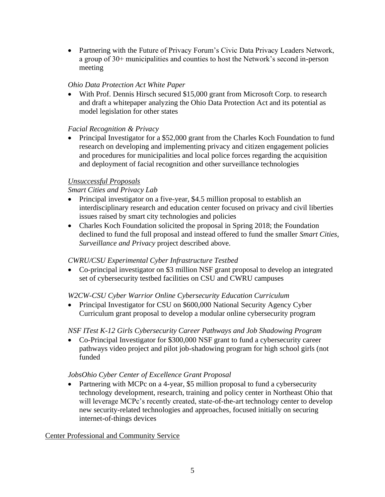• Partnering with the Future of Privacy Forum's Civic Data Privacy Leaders Network, a group of 30+ municipalities and counties to host the Network's second in-person meeting

# *Ohio Data Protection Act White Paper*

• With Prof. Dennis Hirsch secured \$15,000 grant from Microsoft Corp. to research and draft a whitepaper analyzing the Ohio Data Protection Act and its potential as model legislation for other states

# *Facial Recognition & Privacy*

• Principal Investigator for a \$52,000 grant from the Charles Koch Foundation to fund research on developing and implementing privacy and citizen engagement policies and procedures for municipalities and local police forces regarding the acquisition and deployment of facial recognition and other surveillance technologies

# *Unsuccessful Proposals*

# *Smart Cities and Privacy Lab*

- Principal investigator on a five-year, \$4.5 million proposal to establish an interdisciplinary research and education center focused on privacy and civil liberties issues raised by smart city technologies and policies
- Charles Koch Foundation solicited the proposal in Spring 2018; the Foundation declined to fund the full proposal and instead offered to fund the smaller *Smart Cities, Surveillance and Privacy* project described above.

### *CWRU/CSU Experimental Cyber Infrastructure Testbed*

• Co-principal investigator on \$3 million NSF grant proposal to develop an integrated set of cybersecurity testbed facilities on CSU and CWRU campuses

# *W2CW-CSU Cyber Warrior Online Cybersecurity Education Curriculum*

• Principal Investigator for CSU on \$600,000 National Security Agency Cyber Curriculum grant proposal to develop a modular online cybersecurity program

# *NSF ITest K-12 Girls Cybersecurity Career Pathways and Job Shadowing Program*

• Co-Principal Investigator for \$300,000 NSF grant to fund a cybersecurity career pathways video project and pilot job-shadowing program for high school girls (not funded

# *JobsOhio Cyber Center of Excellence Grant Proposal*

• Partnering with MCPc on a 4-year, \$5 million proposal to fund a cybersecurity technology development, research, training and policy center in Northeast Ohio that will leverage MCPc's recently created, state-of-the-art technology center to develop new security-related technologies and approaches, focused initially on securing internet-of-things devices

### Center Professional and Community Service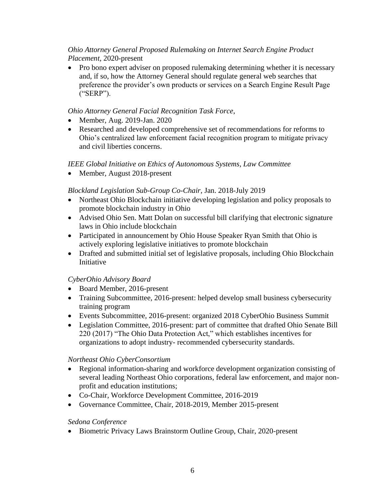### *Ohio Attorney General Proposed Rulemaking on Internet Search Engine Product Placement*, 2020-present

• Pro bono expert adviser on proposed rulemaking determining whether it is necessary and, if so, how the Attorney General should regulate general web searches that preference the provider's own products or services on a Search Engine Result Page ("SERP").

# *Ohio Attorney General Facial Recognition Task Force*,

- Member, Aug. 2019-Jan. 2020
- Researched and developed comprehensive set of recommendations for reforms to Ohio's centralized law enforcement facial recognition program to mitigate privacy and civil liberties concerns.

# *IEEE Global Initiative on Ethics of Autonomous Systems, Law Committee*

• Member, August 2018-present

# *Blockland Legislation Sub-Group Co-Chair*, Jan. 2018-July 2019

- Northeast Ohio Blockchain initiative developing legislation and policy proposals to promote blockchain industry in Ohio
- Advised Ohio Sen. Matt Dolan on successful bill clarifying that electronic signature laws in Ohio include blockchain
- Participated in announcement by Ohio House Speaker Ryan Smith that Ohio is actively exploring legislative initiatives to promote blockchain
- Drafted and submitted initial set of legislative proposals, including Ohio Blockchain Initiative

### *CyberOhio Advisory Board*

- Board Member, 2016-present
- Training Subcommittee, 2016-present: helped develop small business cybersecurity training program
- Events Subcommittee, 2016-present: organized 2018 CyberOhio Business Summit
- Legislation Committee, 2016-present: part of committee that drafted Ohio Senate Bill 220 (2017) "The Ohio Data Protection Act," which establishes incentives for organizations to adopt industry- recommended cybersecurity standards.

### *Northeast Ohio CyberConsortium*

- Regional information-sharing and workforce development organization consisting of several leading Northeast Ohio corporations, federal law enforcement, and major nonprofit and education institutions;
- Co-Chair, Workforce Development Committee, 2016-2019
- Governance Committee, Chair, 2018-2019, Member 2015-present

### *Sedona Conference*

• Biometric Privacy Laws Brainstorm Outline Group, Chair, 2020-present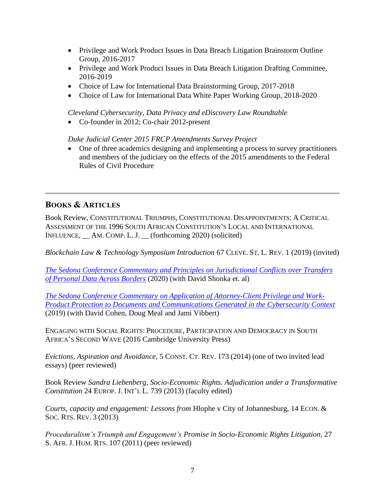- Privilege and Work Product Issues in Data Breach Litigation Brainstorm Outline Group, 2016-2017
- Privilege and Work Product Issues in Data Breach Litigation Drafting Committee, 2016-2019
- Choice of Law for International Data Brainstorming Group, 2017-2018
- Choice of Law for International Data White Paper Working Group, 2018-2020

*Cleveland Cybersecurity, Data Privacy and eDiscovery Law Roundtable*

• Co-founder in 2012; Co-chair 2012-present

*Duke Judicial Center 2015 FRCP Amendments Survey Project*

• One of three academics designing and implementing a process to survey practitioners and members of the judiciary on the effects of the 2015 amendments to the Federal Rules of Civil Procedure

# **BOOKS & ARTICLES**

Book Review, CONSTITUTIONAL TRIUMPHS, CONSTITUTIONAL DISAPPOINTMENTS: A CRITICAL ASSESSMENT OF THE 1996 SOUTH AFRICAN CONSTITUTION'S LOCAL AND INTERNATIONAL INFLUENCE, \_\_ AM. COMP. L. J. \_\_ (forthcoming 2020) (solicited)

*Blockchain Law & Technology Symposium Introduction* 67 CLEVE. ST. L. REV. 1 (2019) (invited)

*[The Sedona Conference Commentary and Principles on Jurisdictional Conflicts over Transfers](https://thesedonaconference.org/publication/Commentary_and_Principles_on_Jurisdictional_Conflicts_over_Transfers_of_Personal_Data_Across_Borders)  [of Personal Data Across Borders](https://thesedonaconference.org/publication/Commentary_and_Principles_on_Jurisdictional_Conflicts_over_Transfers_of_Personal_Data_Across_Borders)* (2020) (with David Shonka et. al)

*[The Sedona Conference Commentary on Application of Attorney-Client Privilege and Work-](https://thesedonaconference.org/publication/Commentary_on_Application_of_Attorney-Client_Privilege_and_Work-Product_Protection_to_Documents_and_Communications_Generated_in_the_Cybersecurity_Context)[Product Protection to Documents and Communications Generated in the Cybersecurity Context](https://thesedonaconference.org/publication/Commentary_on_Application_of_Attorney-Client_Privilege_and_Work-Product_Protection_to_Documents_and_Communications_Generated_in_the_Cybersecurity_Context)* (2019) (with David Cohen, Doug Meal and Jami Vibbert)

ENGAGING WITH SOCIAL RIGHTS: PROCEDURE, PARTICIPATION AND DEMOCRACY IN SOUTH AFRICA'S SECOND WAVE (2016 Cambridge University Press)

*Evictions, Aspiration and Avoidance*, 5 CONST. CT. REV. 173 (2014) (one of two invited lead essays) (peer reviewed)

Book Review *Sandra Liebenberg, Socio-Economic Rights. Adjudication under a Transformative Constitution* 24 EUROP. J. INT'L L. 739 (2013) (faculty edited)

*Courts, capacity and engagement: Lessons from Hlophe v City of Johannesburg, 14 ECON. &* SOC. RTS. REV. 3 (2013)

*Proceduralism's Triumph and Engagement's Promise in Socio-Economic Rights Litigation*, 27 S. AFR. J. HUM. RTS. 107 (2011) (peer reviewed)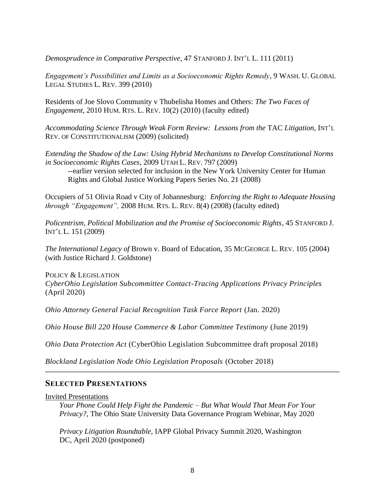*Demosprudence in Comparative Perspective*, 47 STANFORD J. INT'L L. 111 (2011)

*Engagement's Possibilities and Limits as a Socioeconomic Rights Remedy*, 9 WASH. U. GLOBAL LEGAL STUDIES L. REV. 399 (2010)

Residents of Joe Slovo Community v Thubelisha Homes and Others: *The Two Faces of Engagement*, 2010 HUM. RTS. L. REV. 10(2) (2010) (faculty edited)

*Accommodating Science Through Weak Form Review: Lessons from the* TAC *Litigation*, INT'L REV. OF CONSTITUTIONALISM (2009) (solicited)

*Extending the Shadow of the Law: Using Hybrid Mechanisms to Develop Constitutional Norms in Socioeconomic Rights Cases*, 2009 UTAH L. REV. 797 (2009)

--earlier version selected for inclusion in the New York University Center for Human Rights and Global Justice Working Papers Series No. 21 (2008)

Occupiers of 51 Olivia Road v City of Johannesburg*: Enforcing the Right to Adequate Housing through "Engagement",* 2008 HUM. RTS. L. REV. 8(4) (2008) (faculty edited)

*Policentrism, Political Mobilization and the Promise of Socioeconomic Rights,* 45 STANFORD J. INT'L L. 151 (2009)

*The International Legacy of* Brown v. Board of Education, 35 MCGEORGE L. REV. 105 (2004) (with Justice Richard J. Goldstone)

POLICY & LEGISLATION *CyberOhio Legislation Subcommittee Contact-Tracing Applications Privacy Principles*  (April 2020)

*Ohio Attorney General Facial Recognition Task Force Report* (Jan. 2020)

*Ohio House Bill 220 House Commerce & Labor Committee Testimony* (June 2019)

*Ohio Data Protection Act* (CyberOhio Legislation Subcommittee draft proposal 2018)

*Blockland Legislation Node Ohio Legislation Proposals* (October 2018)

#### **SELECTED PRESENTATIONS**

Invited Presentations

*Your Phone Could Help Fight the Pandemic – But What Would That Mean For Your Privacy?*, The Ohio State University Data Governance Program Webinar, May 2020

*Privacy Litigation Roundtable*, IAPP Global Privacy Summit 2020, Washington DC, April 2020 (postponed)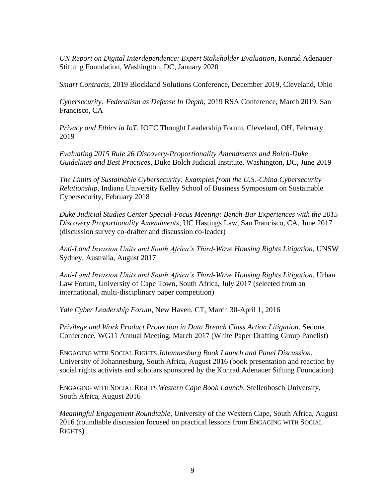*UN Report on Digital Interdependence: Expert Stakeholder Evaluation*, Konrad Adenauer Stiftung Foundation, Washington, DC, January 2020

*Smart Contracts*, 2019 Blockland Solutions Conference, December 2019, Cleveland, Ohio

*Cybersecurity: Federalism as Defense In Depth*, 2019 RSA Conference, March 2019, San Francisco, CA

*Privacy and Ethics in IoT*, IOTC Thought Leadership Forum, Cleveland, OH, February 2019

*Evaluating 2015 Rule 26 Discovery-Proportionality Amendments and Bolch-Duke Guidelines and Best Practices*, Duke Bolch Judicial Institute, Washington, DC, June 2019

*The Limits of Sustainable Cybersecurity: Examples from the U.S.-China Cybersecurity Relationship*, Indiana University Kelley School of Business Symposium on Sustainable Cybersecurity, February 2018

*Duke Judicial Studies Center Special-Focus Meeting: Bench-Bar Experiences with the 2015 Discovery Proportionality Amendments*, UC Hastings Law, San Francisco, CA, June 2017 (discussion survey co-drafter and discussion co-leader)

*Anti-Land Invasion Units and South Africa's Third-Wave Housing Rights Litigation*, UNSW Sydney, Australia, August 2017

*Anti-Land Invasion Units and South Africa's Third-Wave Housing Rights Litigation*, Urban Law Forum, University of Cape Town, South Africa, July 2017 (selected from an international, multi-disciplinary paper competition)

*Yale Cyber Leadership Forum*, New Haven, CT, March 30-April 1, 2016

*Privilege and Work Product Protection in Data Breach Class Action Litigation*, Sedona Conference, WG11 Annual Meeting, March 2017 (White Paper Drafting Group Panelist)

ENGAGING WITH SOCIAL RIGHTS *Johannesburg Book Launch and Panel Discussion*, University of Johannesburg, South Africa, August 2016 (book presentation and reaction by social rights activists and scholars sponsored by the Konrad Adenauer Siftung Foundation)

ENGAGING WITH SOCIAL RIGHTS *Western Cape Book Launch*, Stellenbosch University, South Africa, August 2016

*Meaningful Engagement Roundtable*, University of the Western Cape, South Africa, August 2016 (roundtable discussion focused on practical lessons from ENGAGING WITH SOCIAL RIGHTS)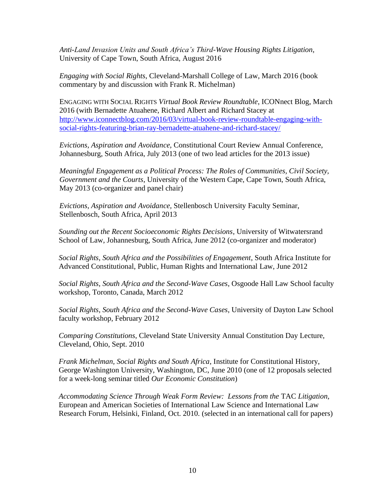*Anti-Land Invasion Units and South Africa's Third-Wave Housing Rights Litigation*, University of Cape Town, South Africa, August 2016

*Engaging with Social Rights*, Cleveland-Marshall College of Law, March 2016 (book commentary by and discussion with Frank R. Michelman)

ENGAGING WITH SOCIAL RIGHTS *Virtual Book Review Roundtable*, ICONnect Blog, March 2016 (with Bernadette Atuahene, Richard Albert and Richard Stacey at [http://www.iconnectblog.com/2016/03/virtual-book-review-roundtable-engaging-with](http://www.iconnectblog.com/2016/03/virtual-book-review-roundtable-engaging-with-social-rights-featuring-brian-ray-bernadette-atuahene-and-richard-stacey/)[social-rights-featuring-brian-ray-bernadette-atuahene-and-richard-stacey/](http://www.iconnectblog.com/2016/03/virtual-book-review-roundtable-engaging-with-social-rights-featuring-brian-ray-bernadette-atuahene-and-richard-stacey/)

*Evictions, Aspiration and Avoidance,* Constitutional Court Review Annual Conference, Johannesburg, South Africa, July 2013 (one of two lead articles for the 2013 issue)

*Meaningful Engagement as a Political Process: The Roles of Communities, Civil Society, Government and the Courts*, University of the Western Cape, Cape Town, South Africa, May 2013 (co-organizer and panel chair)

*Evictions, Aspiration and Avoidance,* Stellenbosch University Faculty Seminar, Stellenbosch, South Africa, April 2013

*Sounding out the Recent Socioeconomic Rights Decisions*, University of Witwatersrand School of Law, Johannesburg, South Africa, June 2012 (co-organizer and moderator)

*Social Rights, South Africa and the Possibilities of Engagement*, South Africa Institute for Advanced Constitutional, Public, Human Rights and International Law, June 2012

*Social Rights, South Africa and the Second-Wave Cases*, Osgoode Hall Law School faculty workshop, Toronto, Canada, March 2012

*Social Rights, South Africa and the Second-Wave Cases*, University of Dayton Law School faculty workshop, February 2012

*Comparing Constitutions*, Cleveland State University Annual Constitution Day Lecture, Cleveland, Ohio, Sept. 2010

*Frank Michelman, Social Rights and South Africa*, Institute for Constitutional History, George Washington University, Washington, DC, June 2010 (one of 12 proposals selected for a week-long seminar titled *Our Economic Constitution*)

*Accommodating Science Through Weak Form Review: Lessons from the* TAC *Litigation,*  European and American Societies of International Law Science and International Law Research Forum, Helsinki, Finland, Oct. 2010. (selected in an international call for papers)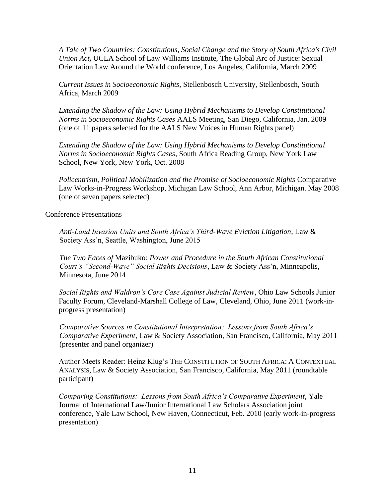*A Tale of Two Countries: Constitutions, Social Change and the Story of South Africa's Civil Union Act***,** UCLA School of Law Williams Institute, The Global Arc of Justice: Sexual Orientation Law Around the World conference, Los Angeles, California, March 2009

*Current Issues in Socioeconomic Rights*, Stellenbosch University, Stellenbosch, South Africa, March 2009

*Extending the Shadow of the Law: Using Hybrid Mechanisms to Develop Constitutional Norms in Socioeconomic Rights Cases* AALS Meeting, San Diego, California, Jan. 2009 (one of 11 papers selected for the AALS New Voices in Human Rights panel)

*Extending the Shadow of the Law: Using Hybrid Mechanisms to Develop Constitutional Norms in Socioeconomic Rights Cases*, South Africa Reading Group, New York Law School, New York, New York, Oct. 2008

*Policentrism, Political Mobilization and the Promise of Socioeconomic Rights* Comparative Law Works-in-Progress Workshop, Michigan Law School, Ann Arbor, Michigan. May 2008 (one of seven papers selected)

#### Conference Presentations

*Anti-Land Invasion Units and South Africa's Third-Wave Eviction Litigation*, Law & Society Ass'n, Seattle, Washington, June 2015

*The Two Faces of* Mazibuko: *Power and Procedure in the South African Constitutional Court's "Second-Wave" Social Rights Decisions*, Law & Society Ass'n, Minneapolis, Minnesota, June 2014

*Social Rights and Waldron's Core Case Against Judicial Review*, Ohio Law Schools Junior Faculty Forum, Cleveland-Marshall College of Law, Cleveland, Ohio, June 2011 (work-inprogress presentation)

 *Comparative Sources in Constitutional Interpretation: Lessons from South Africa's Comparative Experiment*, Law & Society Association, San Francisco, California, May 2011 (presenter and panel organizer)

Author Meets Reader: Heinz Klug's THE CONSTITUTION OF SOUTH AFRICA: A CONTEXTUAL ANALYSIS, Law & Society Association, San Francisco, California, May 2011 (roundtable participant)

*Comparing Constitutions: Lessons from South Africa's Comparative Experiment*, Yale Journal of International Law/Junior International Law Scholars Association joint conference, Yale Law School, New Haven, Connecticut, Feb. 2010 (early work-in-progress presentation)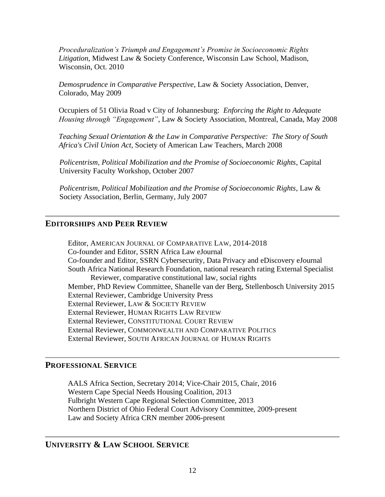*Proceduralization's Triumph and Engagement's Promise in Socioeconomic Rights Litigation*, Midwest Law & Society Conference, Wisconsin Law School, Madison, Wisconsin, Oct. 2010

*Demosprudence in Comparative Perspective*, Law & Society Association, Denver, Colorado, May 2009

Occupiers of 51 Olivia Road v City of Johannesburg: *Enforcing the Right to Adequate Housing through "Engagement"*, Law & Society Association, Montreal, Canada, May 2008

*Teaching Sexual Orientation & the Law in Comparative Perspective: The Story of South Africa's Civil Union Act*, Society of American Law Teachers, March 2008

*Policentrism, Political Mobilization and the Promise of Socioeconomic Rights*, Capital University Faculty Workshop, October 2007

*Policentrism, Political Mobilization and the Promise of Socioeconomic Rights*, Law & Society Association, Berlin, Germany, July 2007

### **EDITORSHIPS AND PEER REVIEW**

Editor, AMERICAN JOURNAL OF COMPARATIVE LAW, 2014-2018 Co-founder and Editor, SSRN Africa Law eJournal Co-founder and Editor, SSRN Cybersecurity, Data Privacy and eDiscovery eJournal South Africa National Research Foundation, national research rating External Specialist Reviewer, comparative constitutional law, social rights Member, PhD Review Committee, Shanelle van der Berg, Stellenbosch University 2015 External Reviewer, Cambridge University Press External Reviewer, LAW & SOCIETY REVIEW External Reviewer, HUMAN RIGHTS LAW REVIEW External Reviewer, CONSTITUTIONAL COURT REVIEW External Reviewer, COMMONWEALTH AND COMPARATIVE POLITICS External Reviewer, SOUTH AFRICAN JOURNAL OF HUMAN RIGHTS

#### **PROFESSIONAL SERVICE**

AALS Africa Section, Secretary 2014; Vice-Chair 2015, Chair, 2016 Western Cape Special Needs Housing Coalition, 2013 Fulbright Western Cape Regional Selection Committee, 2013 Northern District of Ohio Federal Court Advisory Committee, 2009-present Law and Society Africa CRN member 2006-present

# **UNIVERSITY & LAW SCHOOL SERVICE**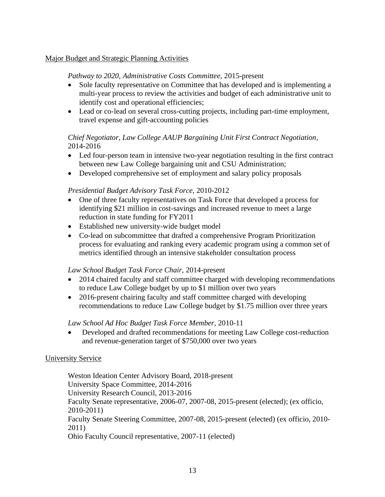### Major Budget and Strategic Planning Activities

#### *Pathway to 2020, Administrative Costs Committee,* 2015-present

- Sole faculty representative on Committee that has developed and is implementing a multi-year process to review the activities and budget of each administrative unit to identify cost and operational efficiencies;
- Lead or co-lead on several cross-cutting projects, including part-time employment, travel expense and gift-accounting policies

### *Chief Negotiator, Law College AAUP Bargaining Unit First Contract Negotiation,* 2014-2016

- Led four-person team in intensive two-year negotiation resulting in the first contract between new Law College bargaining unit and CSU Administration;
- Developed comprehensive set of employment and salary policy proposals

#### *Presidential Budget Advisory Task Force,* 2010-2012

- One of three faculty representatives on Task Force that developed a process for identifying \$21 million in cost-savings and increased revenue to meet a large reduction in state funding for FY2011
- Established new university-wide budget model
- Co-lead on subcommittee that drafted a comprehensive Program Prioritization process for evaluating and ranking every academic program using a common set of metrics identified through an intensive stakeholder consultation process

#### *Law School Budget Task Force Chair,* 2014-present

- 2014 chaired faculty and staff committee charged with developing recommendations to reduce Law College budget by up to \$1 million over two years
- 2016-present chairing faculty and staff committee charged with developing recommendations to reduce Law College budget by \$1.75 million over three years

#### *Law School Ad Hoc Budget Task Force Member,* 2010-11

• Developed and drafted recommendations for meeting Law College cost-reduction and revenue-generation target of \$750,000 over two years

#### University Service

Weston Ideation Center Advisory Board, 2018-present University Space Committee, 2014-2016 University Research Council, 2013-2016 Faculty Senate representative, 2006-07, 2007-08, 2015-present (elected); (ex officio, 2010-2011) Faculty Senate Steering Committee, 2007-08, 2015-present (elected) (ex officio, 2010- 2011) Ohio Faculty Council representative, 2007-11 (elected)